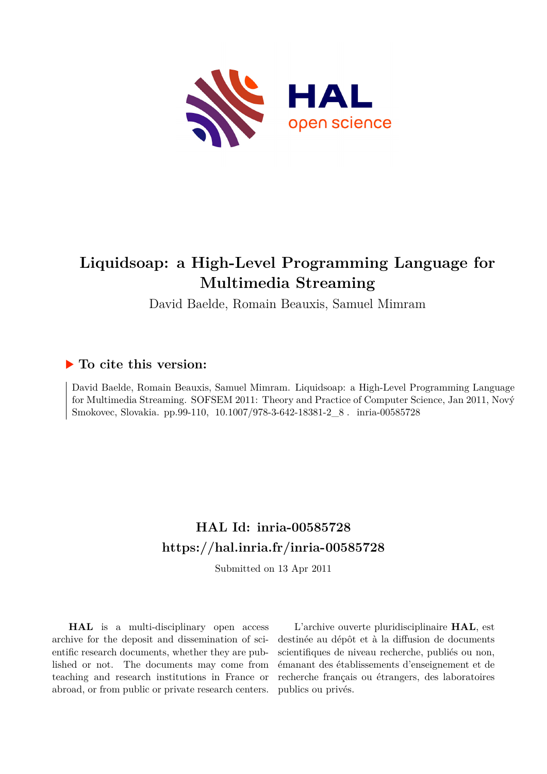

# **Liquidsoap: a High-Level Programming Language for Multimedia Streaming**

David Baelde, Romain Beauxis, Samuel Mimram

# **To cite this version:**

David Baelde, Romain Beauxis, Samuel Mimram. Liquidsoap: a High-Level Programming Language for Multimedia Streaming. SOFSEM 2011: Theory and Practice of Computer Science, Jan 2011, Nový Smokovec, Slovakia. pp.99-110,  $10.1007/978-3-642-18381-2\_8$ . inria-00585728

# **HAL Id: inria-00585728 <https://hal.inria.fr/inria-00585728>**

Submitted on 13 Apr 2011

**HAL** is a multi-disciplinary open access archive for the deposit and dissemination of scientific research documents, whether they are published or not. The documents may come from teaching and research institutions in France or abroad, or from public or private research centers.

L'archive ouverte pluridisciplinaire **HAL**, est destinée au dépôt et à la diffusion de documents scientifiques de niveau recherche, publiés ou non, émanant des établissements d'enseignement et de recherche français ou étrangers, des laboratoires publics ou privés.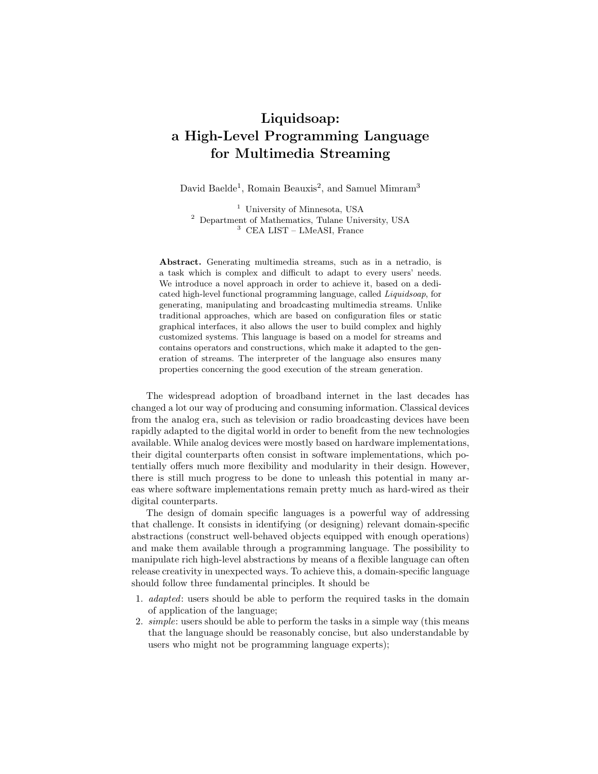# Liquidsoap: a High-Level Programming Language for Multimedia Streaming

David Baelde<sup>1</sup>, Romain Beauxis<sup>2</sup>, and Samuel Mimram<sup>3</sup>

<sup>1</sup> University of Minnesota, USA <sup>2</sup> Department of Mathematics, Tulane University, USA <sup>3</sup> CEA LIST – LMeASI, France

Abstract. Generating multimedia streams, such as in a netradio, is a task which is complex and difficult to adapt to every users' needs. We introduce a novel approach in order to achieve it, based on a dedicated high-level functional programming language, called Liquidsoap, for generating, manipulating and broadcasting multimedia streams. Unlike traditional approaches, which are based on configuration files or static graphical interfaces, it also allows the user to build complex and highly customized systems. This language is based on a model for streams and contains operators and constructions, which make it adapted to the generation of streams. The interpreter of the language also ensures many properties concerning the good execution of the stream generation.

The widespread adoption of broadband internet in the last decades has changed a lot our way of producing and consuming information. Classical devices from the analog era, such as television or radio broadcasting devices have been rapidly adapted to the digital world in order to benefit from the new technologies available. While analog devices were mostly based on hardware implementations, their digital counterparts often consist in software implementations, which potentially offers much more flexibility and modularity in their design. However, there is still much progress to be done to unleash this potential in many areas where software implementations remain pretty much as hard-wired as their digital counterparts.

The design of domain specific languages is a powerful way of addressing that challenge. It consists in identifying (or designing) relevant domain-specific abstractions (construct well-behaved objects equipped with enough operations) and make them available through a programming language. The possibility to manipulate rich high-level abstractions by means of a flexible language can often release creativity in unexpected ways. To achieve this, a domain-specific language should follow three fundamental principles. It should be

- 1. adapted: users should be able to perform the required tasks in the domain of application of the language;
- 2. simple: users should be able to perform the tasks in a simple way (this means that the language should be reasonably concise, but also understandable by users who might not be programming language experts);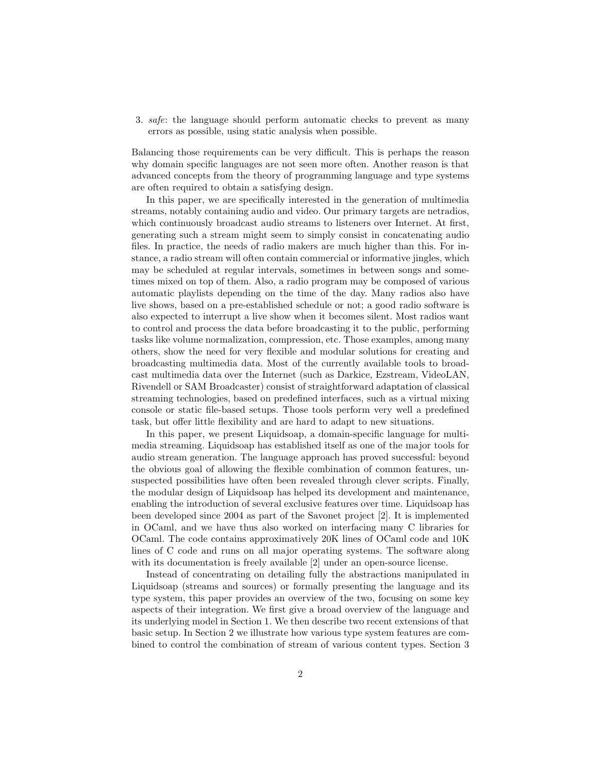3. safe: the language should perform automatic checks to prevent as many errors as possible, using static analysis when possible.

Balancing those requirements can be very difficult. This is perhaps the reason why domain specific languages are not seen more often. Another reason is that advanced concepts from the theory of programming language and type systems are often required to obtain a satisfying design.

In this paper, we are specifically interested in the generation of multimedia streams, notably containing audio and video. Our primary targets are netradios, which continuously broadcast audio streams to listeners over Internet. At first, generating such a stream might seem to simply consist in concatenating audio files. In practice, the needs of radio makers are much higher than this. For instance, a radio stream will often contain commercial or informative jingles, which may be scheduled at regular intervals, sometimes in between songs and sometimes mixed on top of them. Also, a radio program may be composed of various automatic playlists depending on the time of the day. Many radios also have live shows, based on a pre-established schedule or not; a good radio software is also expected to interrupt a live show when it becomes silent. Most radios want to control and process the data before broadcasting it to the public, performing tasks like volume normalization, compression, etc. Those examples, among many others, show the need for very flexible and modular solutions for creating and broadcasting multimedia data. Most of the currently available tools to broadcast multimedia data over the Internet (such as Darkice, Ezstream, VideoLAN, Rivendell or SAM Broadcaster) consist of straightforward adaptation of classical streaming technologies, based on predefined interfaces, such as a virtual mixing console or static file-based setups. Those tools perform very well a predefined task, but offer little flexibility and are hard to adapt to new situations.

In this paper, we present Liquidsoap, a domain-specific language for multimedia streaming. Liquidsoap has established itself as one of the major tools for audio stream generation. The language approach has proved successful: beyond the obvious goal of allowing the flexible combination of common features, unsuspected possibilities have often been revealed through clever scripts. Finally, the modular design of Liquidsoap has helped its development and maintenance, enabling the introduction of several exclusive features over time. Liquidsoap has been developed since 2004 as part of the Savonet project [\[2\]](#page-12-0). It is implemented in OCaml, and we have thus also worked on interfacing many C libraries for OCaml. The code contains approximatively 20K lines of OCaml code and 10K lines of C code and runs on all major operating systems. The software along with its documentation is freely available [\[2\]](#page-12-0) under an open-source license.

Instead of concentrating on detailing fully the abstractions manipulated in Liquidsoap (streams and sources) or formally presenting the language and its type system, this paper provides an overview of the two, focusing on some key aspects of their integration. We first give a broad overview of the language and its underlying model in Section [1.](#page-3-0) We then describe two recent extensions of that basic setup. In Section [2](#page-7-0) we illustrate how various type system features are combined to control the combination of stream of various content types. Section [3](#page-9-0)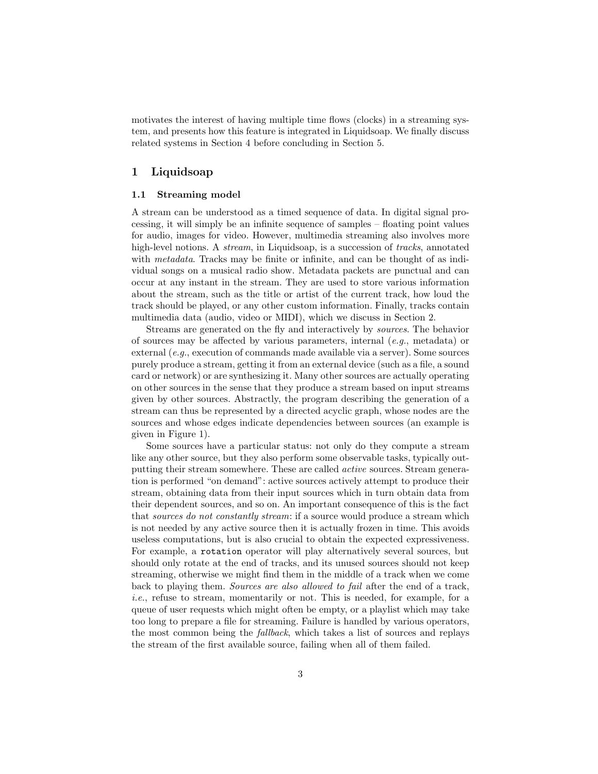motivates the interest of having multiple time flows (clocks) in a streaming system, and presents how this feature is integrated in Liquidsoap. We finally discuss related systems in Section [4](#page-11-0) before concluding in Section [5.](#page-12-1)

# <span id="page-3-0"></span>1 Liquidsoap

## 1.1 Streaming model

A stream can be understood as a timed sequence of data. In digital signal processing, it will simply be an infinite sequence of samples – floating point values for audio, images for video. However, multimedia streaming also involves more high-level notions. A *stream*, in Liquidsoap, is a succession of *tracks*, annotated with *metadata*. Tracks may be finite or infinite, and can be thought of as individual songs on a musical radio show. Metadata packets are punctual and can occur at any instant in the stream. They are used to store various information about the stream, such as the title or artist of the current track, how loud the track should be played, or any other custom information. Finally, tracks contain multimedia data (audio, video or MIDI), which we discuss in Section [2.](#page-7-0)

Streams are generated on the fly and interactively by sources. The behavior of sources may be affected by various parameters, internal  $(e.q., \text{ metadata})$  or external (e.g., execution of commands made available via a server). Some sources purely produce a stream, getting it from an external device (such as a file, a sound card or network) or are synthesizing it. Many other sources are actually operating on other sources in the sense that they produce a stream based on input streams given by other sources. Abstractly, the program describing the generation of a stream can thus be represented by a directed acyclic graph, whose nodes are the sources and whose edges indicate dependencies between sources (an example is given in Figure [1\)](#page-4-0).

Some sources have a particular status: not only do they compute a stream like any other source, but they also perform some observable tasks, typically outputting their stream somewhere. These are called active sources. Stream generation is performed "on demand": active sources actively attempt to produce their stream, obtaining data from their input sources which in turn obtain data from their dependent sources, and so on. An important consequence of this is the fact that sources do not constantly stream: if a source would produce a stream which is not needed by any active source then it is actually frozen in time. This avoids useless computations, but is also crucial to obtain the expected expressiveness. For example, a rotation operator will play alternatively several sources, but should only rotate at the end of tracks, and its unused sources should not keep streaming, otherwise we might find them in the middle of a track when we come back to playing them. Sources are also allowed to fail after the end of a track, i.e., refuse to stream, momentarily or not. This is needed, for example, for a queue of user requests which might often be empty, or a playlist which may take too long to prepare a file for streaming. Failure is handled by various operators, the most common being the fallback, which takes a list of sources and replays the stream of the first available source, failing when all of them failed.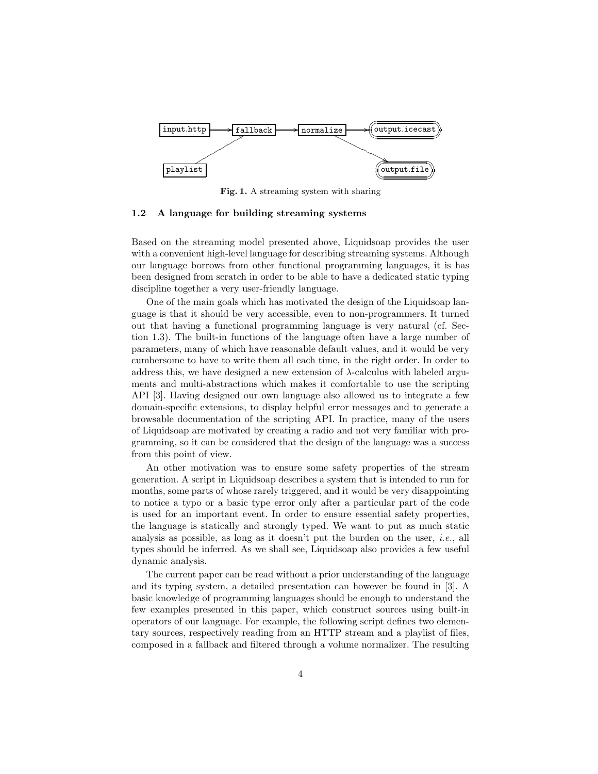

<span id="page-4-0"></span>Fig. 1. A streaming system with sharing

#### 1.2 A language for building streaming systems

Based on the streaming model presented above, Liquidsoap provides the user with a convenient high-level language for describing streaming systems. Although our language borrows from other functional programming languages, it is has been designed from scratch in order to be able to have a dedicated static typing discipline together a very user-friendly language.

One of the main goals which has motivated the design of the Liquidsoap language is that it should be very accessible, even to non-programmers. It turned out that having a functional programming language is very natural (cf. Section [1.3\)](#page-5-0). The built-in functions of the language often have a large number of parameters, many of which have reasonable default values, and it would be very cumbersome to have to write them all each time, in the right order. In order to address this, we have designed a new extension of  $\lambda$ -calculus with labeled arguments and multi-abstractions which makes it comfortable to use the scripting API [\[3\]](#page-12-2). Having designed our own language also allowed us to integrate a few domain-specific extensions, to display helpful error messages and to generate a browsable documentation of the scripting API. In practice, many of the users of Liquidsoap are motivated by creating a radio and not very familiar with programming, so it can be considered that the design of the language was a success from this point of view.

An other motivation was to ensure some safety properties of the stream generation. A script in Liquidsoap describes a system that is intended to run for months, some parts of whose rarely triggered, and it would be very disappointing to notice a typo or a basic type error only after a particular part of the code is used for an important event. In order to ensure essential safety properties, the language is statically and strongly typed. We want to put as much static analysis as possible, as long as it doesn't put the burden on the user, i.e., all types should be inferred. As we shall see, Liquidsoap also provides a few useful dynamic analysis.

The current paper can be read without a prior understanding of the language and its typing system, a detailed presentation can however be found in [\[3\]](#page-12-2). A basic knowledge of programming languages should be enough to understand the few examples presented in this paper, which construct sources using built-in operators of our language. For example, the following script defines two elementary sources, respectively reading from an HTTP stream and a playlist of files, composed in a fallback and filtered through a volume normalizer. The resulting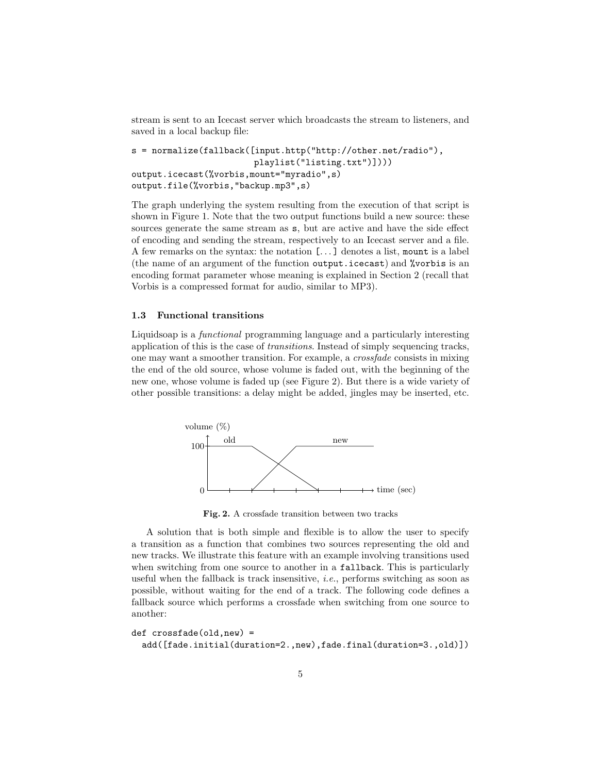stream is sent to an Icecast server which broadcasts the stream to listeners, and saved in a local backup file:

s = normalize(fallback([input.http("http://other.net/radio"), playlist("listing.txt")]))) output.icecast(%vorbis,mount="myradio",s) output.file(%vorbis,"backup.mp3",s)

The graph underlying the system resulting from the execution of that script is shown in Figure [1.](#page-4-0) Note that the two output functions build a new source: these sources generate the same stream as s, but are active and have the side effect of encoding and sending the stream, respectively to an Icecast server and a file. A few remarks on the syntax: the notation [. . . ] denotes a list, mount is a label (the name of an argument of the function output.icecast) and %vorbis is an encoding format parameter whose meaning is explained in Section [2](#page-7-1) (recall that Vorbis is a compressed format for audio, similar to MP3).

### <span id="page-5-0"></span>1.3 Functional transitions

Liquidsoap is a functional programming language and a particularly interesting application of this is the case of transitions. Instead of simply sequencing tracks, one may want a smoother transition. For example, a crossfade consists in mixing the end of the old source, whose volume is faded out, with the beginning of the new one, whose volume is faded up (see Figure [2\)](#page-5-1). But there is a wide variety of other possible transitions: a delay might be added, jingles may be inserted, etc.



<span id="page-5-1"></span>Fig. 2. A crossfade transition between two tracks

A solution that is both simple and flexible is to allow the user to specify a transition as a function that combines two sources representing the old and new tracks. We illustrate this feature with an example involving transitions used when switching from one source to another in a **fallback**. This is particularly useful when the fallback is track insensitive, i.e., performs switching as soon as possible, without waiting for the end of a track. The following code defines a fallback source which performs a crossfade when switching from one source to another:

```
def crossfade(old,new) =
  add([fade.initial(duration=2.,new),fade.final(duration=3.,old)])
```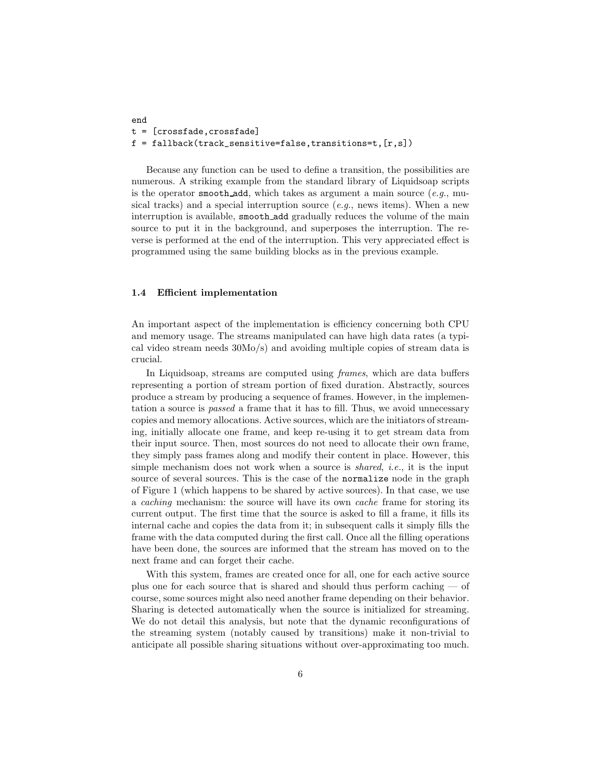```
end
t = [crossfade,crossfade]
f = fallback(track_sensitive=false,transitions=t,[r,s])
```
Because any function can be used to define a transition, the possibilities are numerous. A striking example from the standard library of Liquidsoap scripts is the operator smooth add, which takes as argument a main source  $(e, q, \text{mu})$ sical tracks) and a special interruption source  $(e.q.,\text{ news items})$ . When a new interruption is available, smooth add gradually reduces the volume of the main source to put it in the background, and superposes the interruption. The reverse is performed at the end of the interruption. This very appreciated effect is programmed using the same building blocks as in the previous example.

## 1.4 Efficient implementation

An important aspect of the implementation is efficiency concerning both CPU and memory usage. The streams manipulated can have high data rates (a typical video stream needs 30Mo/s) and avoiding multiple copies of stream data is crucial.

In Liquidsoap, streams are computed using frames, which are data buffers representing a portion of stream portion of fixed duration. Abstractly, sources produce a stream by producing a sequence of frames. However, in the implementation a source is passed a frame that it has to fill. Thus, we avoid unnecessary copies and memory allocations. Active sources, which are the initiators of streaming, initially allocate one frame, and keep re-using it to get stream data from their input source. Then, most sources do not need to allocate their own frame, they simply pass frames along and modify their content in place. However, this simple mechanism does not work when a source is *shared, i.e.*, it is the input source of several sources. This is the case of the normalize node in the graph of Figure [1](#page-4-0) (which happens to be shared by active sources). In that case, we use a caching mechanism: the source will have its own cache frame for storing its current output. The first time that the source is asked to fill a frame, it fills its internal cache and copies the data from it; in subsequent calls it simply fills the frame with the data computed during the first call. Once all the filling operations have been done, the sources are informed that the stream has moved on to the next frame and can forget their cache.

With this system, frames are created once for all, one for each active source plus one for each source that is shared and should thus perform caching — of course, some sources might also need another frame depending on their behavior. Sharing is detected automatically when the source is initialized for streaming. We do not detail this analysis, but note that the dynamic reconfigurations of the streaming system (notably caused by transitions) make it non-trivial to anticipate all possible sharing situations without over-approximating too much.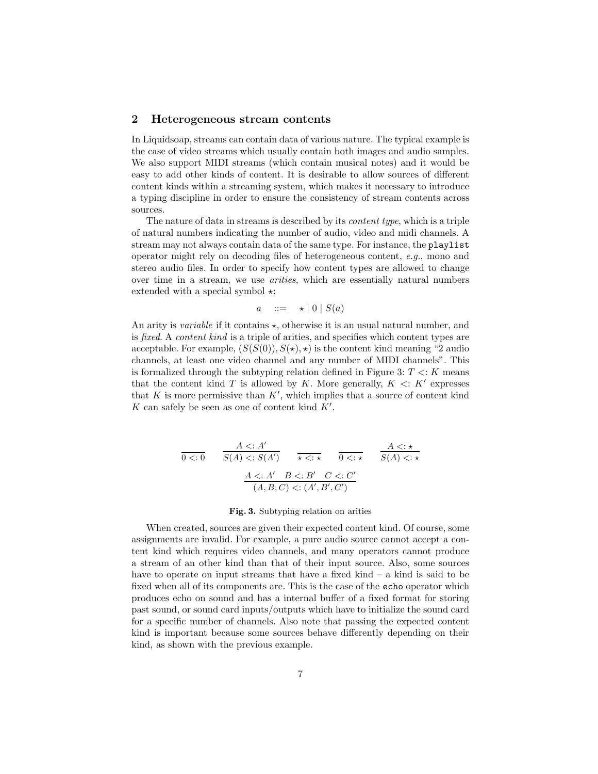## <span id="page-7-0"></span>2 Heterogeneous stream contents

In Liquidsoap, streams can contain data of various nature. The typical example is the case of video streams which usually contain both images and audio samples. We also support MIDI streams (which contain musical notes) and it would be easy to add other kinds of content. It is desirable to allow sources of different content kinds within a streaming system, which makes it necessary to introduce a typing discipline in order to ensure the consistency of stream contents across sources.

The nature of data in streams is described by its *content type*, which is a triple of natural numbers indicating the number of audio, video and midi channels. A stream may not always contain data of the same type. For instance, the playlist operator might rely on decoding files of heterogeneous content, e.g., mono and stereo audio files. In order to specify how content types are allowed to change over time in a stream, we use arities, which are essentially natural numbers extended with a special symbol  $\star$ :

$$
a \quad ::= \quad \star \mid 0 \mid S(a)
$$

An arity is *variable* if it contains  $\star$ , otherwise it is an usual natural number, and is fixed. A content kind is a triple of arities, and specifies which content types are acceptable. For example,  $(S(S(0)), S(\star), \star)$  is the content kind meaning "2 audio channels, at least one video channel and any number of MIDI channels". This is formalized through the subtyping relation defined in Figure [3:](#page-7-1)  $T \le K$  means that the content kind T is allowed by K. More generally,  $K \le K'$  expresses that K is more permissive than  $K'$ , which implies that a source of content kind K can safely be seen as one of content kind  $K'$ .

$$
\frac{A \le A'}{0 \le 0} \qquad \frac{A \le A'}{S(A) \le S(A')} \qquad \frac{A \le \mathfrak{c} \times A'}{\mathfrak{c} \times \mathfrak{c} \times \mathfrak{c}} \qquad \frac{A \le \mathfrak{c} \times A'}{0 \le 0 \le \mathfrak{c} \times \mathfrak{c}} \qquad \frac{A \le \mathfrak{c} \times A'}{(A, B, C) \le 0 \le (A', B', C')}
$$

### <span id="page-7-1"></span>Fig. 3. Subtyping relation on arities

When created, sources are given their expected content kind. Of course, some assignments are invalid. For example, a pure audio source cannot accept a content kind which requires video channels, and many operators cannot produce a stream of an other kind than that of their input source. Also, some sources have to operate on input streams that have a fixed kind  $-$  a kind is said to be fixed when all of its components are. This is the case of the echo operator which produces echo on sound and has a internal buffer of a fixed format for storing past sound, or sound card inputs/outputs which have to initialize the sound card for a specific number of channels. Also note that passing the expected content kind is important because some sources behave differently depending on their kind, as shown with the previous example.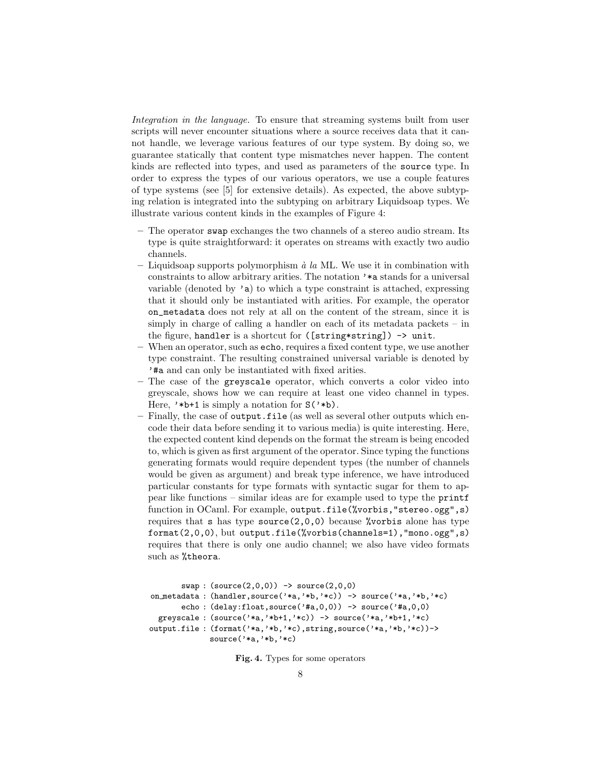Integration in the language. To ensure that streaming systems built from user scripts will never encounter situations where a source receives data that it cannot handle, we leverage various features of our type system. By doing so, we guarantee statically that content type mismatches never happen. The content kinds are reflected into types, and used as parameters of the source type. In order to express the types of our various operators, we use a couple features of type systems (see [\[5\]](#page-12-3) for extensive details). As expected, the above subtyping relation is integrated into the subtyping on arbitrary Liquidsoap types. We illustrate various content kinds in the examples of Figure [4:](#page-8-0)

- The operator swap exchanges the two channels of a stereo audio stream. Its type is quite straightforward: it operates on streams with exactly two audio channels.
- Liquidsoap supports polymorphism  $\dot{a}$  la ML. We use it in combination with constraints to allow arbitrary arities. The notation '\*a stands for a universal variable (denoted by 'a) to which a type constraint is attached, expressing that it should only be instantiated with arities. For example, the operator on\_metadata does not rely at all on the content of the stream, since it is simply in charge of calling a handler on each of its metadata packets – in the figure, handler is a shortcut for  $(\lceil$ string\*string]) -> unit.
- When an operator, such as echo, requires a fixed content type, we use another type constraint. The resulting constrained universal variable is denoted by '#a and can only be instantiated with fixed arities.
- The case of the greyscale operator, which converts a color video into greyscale, shows how we can require at least one video channel in types. Here,  $\ast$ b+1 is simply a notation for  $S(\ast b)$ .
- Finally, the case of output.file (as well as several other outputs which encode their data before sending it to various media) is quite interesting. Here, the expected content kind depends on the format the stream is being encoded to, which is given as first argument of the operator. Since typing the functions generating formats would require dependent types (the number of channels would be given as argument) and break type inference, we have introduced particular constants for type formats with syntactic sugar for them to appear like functions – similar ideas are for example used to type the printf function in OCaml. For example, output.file(%vorbis,"stereo.ogg",s) requires that s has type source(2,0,0) because %vorbis alone has type format(2,0,0), but output.file(%vorbis(channels=1),"mono.ogg",s) requires that there is only one audio channel; we also have video formats such as %theora.

```
swap : (source(2,0,0)) \rightarrow source(2,0,0)on metadata : (handler,source('*a,'*b,'*c)) -> source('*a,'*b,'*c)
       echo : (delay:float,source('#a,0,0)) -> source('#a,0,0)
 greyscale : (source('*a,'*b+1,'*c)) \rightarrow source('*a,'*b+1,'*c)output.file : (format('*a,'*b,'*c),string,source('*a,'*b,'*c))->
             source('*a,'*b,'*c)
```
<span id="page-8-0"></span>Fig. 4. Types for some operators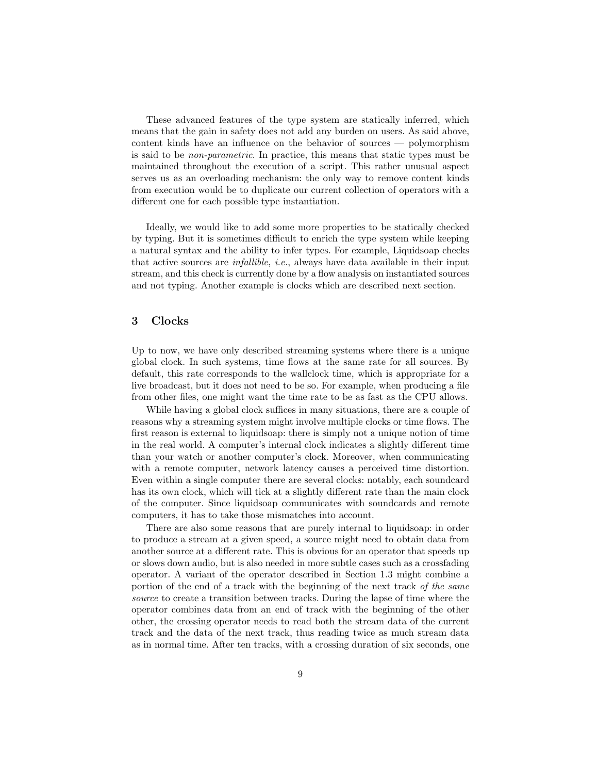These advanced features of the type system are statically inferred, which means that the gain in safety does not add any burden on users. As said above, content kinds have an influence on the behavior of sources — polymorphism is said to be non-parametric. In practice, this means that static types must be maintained throughout the execution of a script. This rather unusual aspect serves us as an overloading mechanism: the only way to remove content kinds from execution would be to duplicate our current collection of operators with a different one for each possible type instantiation.

Ideally, we would like to add some more properties to be statically checked by typing. But it is sometimes difficult to enrich the type system while keeping a natural syntax and the ability to infer types. For example, Liquidsoap checks that active sources are infallible, i.e., always have data available in their input stream, and this check is currently done by a flow analysis on instantiated sources and not typing. Another example is clocks which are described next section.

# <span id="page-9-0"></span>3 Clocks

Up to now, we have only described streaming systems where there is a unique global clock. In such systems, time flows at the same rate for all sources. By default, this rate corresponds to the wallclock time, which is appropriate for a live broadcast, but it does not need to be so. For example, when producing a file from other files, one might want the time rate to be as fast as the CPU allows.

While having a global clock suffices in many situations, there are a couple of reasons why a streaming system might involve multiple clocks or time flows. The first reason is external to liquidsoap: there is simply not a unique notion of time in the real world. A computer's internal clock indicates a slightly different time than your watch or another computer's clock. Moreover, when communicating with a remote computer, network latency causes a perceived time distortion. Even within a single computer there are several clocks: notably, each soundcard has its own clock, which will tick at a slightly different rate than the main clock of the computer. Since liquidsoap communicates with soundcards and remote computers, it has to take those mismatches into account.

There are also some reasons that are purely internal to liquidsoap: in order to produce a stream at a given speed, a source might need to obtain data from another source at a different rate. This is obvious for an operator that speeds up or slows down audio, but is also needed in more subtle cases such as a crossfading operator. A variant of the operator described in Section [1.3](#page-5-0) might combine a portion of the end of a track with the beginning of the next track of the same source to create a transition between tracks. During the lapse of time where the operator combines data from an end of track with the beginning of the other other, the crossing operator needs to read both the stream data of the current track and the data of the next track, thus reading twice as much stream data as in normal time. After ten tracks, with a crossing duration of six seconds, one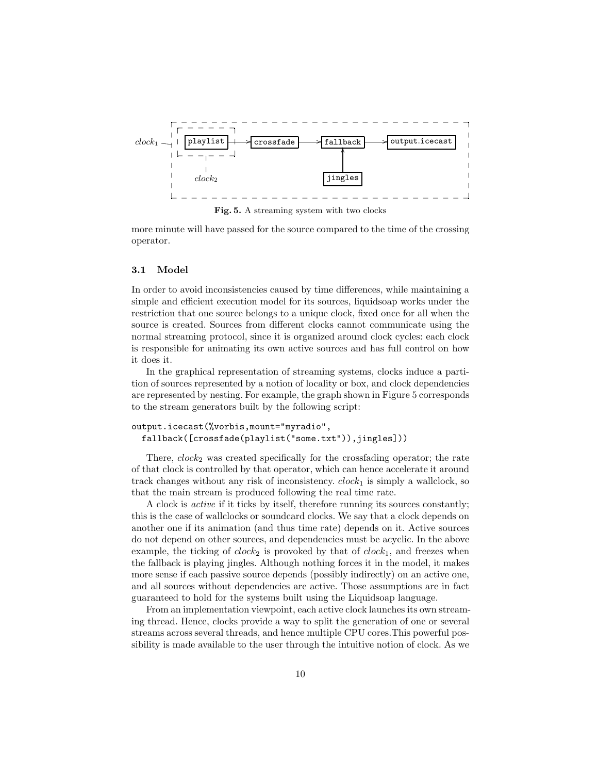

<span id="page-10-0"></span>Fig. 5. A streaming system with two clocks

more minute will have passed for the source compared to the time of the crossing operator.

#### 3.1 Model

In order to avoid inconsistencies caused by time differences, while maintaining a simple and efficient execution model for its sources, liquidsoap works under the restriction that one source belongs to a unique clock, fixed once for all when the source is created. Sources from different clocks cannot communicate using the normal streaming protocol, since it is organized around clock cycles: each clock is responsible for animating its own active sources and has full control on how it does it.

In the graphical representation of streaming systems, clocks induce a partition of sources represented by a notion of locality or box, and clock dependencies are represented by nesting. For example, the graph shown in Figure [5](#page-10-0) corresponds to the stream generators built by the following script:

```
output.icecast(%vorbis,mount="myradio",
  fallback([crossfade(playlist("some.txt")),jingles]))
```
There,  $clock_2$  was created specifically for the crossfading operator; the rate of that clock is controlled by that operator, which can hence accelerate it around track changes without any risk of inconsistency.  $clock_1$  is simply a wallclock, so that the main stream is produced following the real time rate.

A clock is active if it ticks by itself, therefore running its sources constantly; this is the case of wallclocks or soundcard clocks. We say that a clock depends on another one if its animation (and thus time rate) depends on it. Active sources do not depend on other sources, and dependencies must be acyclic. In the above example, the ticking of  $clock_2$  is provoked by that of  $clock_1$ , and freezes when the fallback is playing jingles. Although nothing forces it in the model, it makes more sense if each passive source depends (possibly indirectly) on an active one, and all sources without dependencies are active. Those assumptions are in fact guaranteed to hold for the systems built using the Liquidsoap language.

From an implementation viewpoint, each active clock launches its own streaming thread. Hence, clocks provide a way to split the generation of one or several streams across several threads, and hence multiple CPU cores.This powerful possibility is made available to the user through the intuitive notion of clock. As we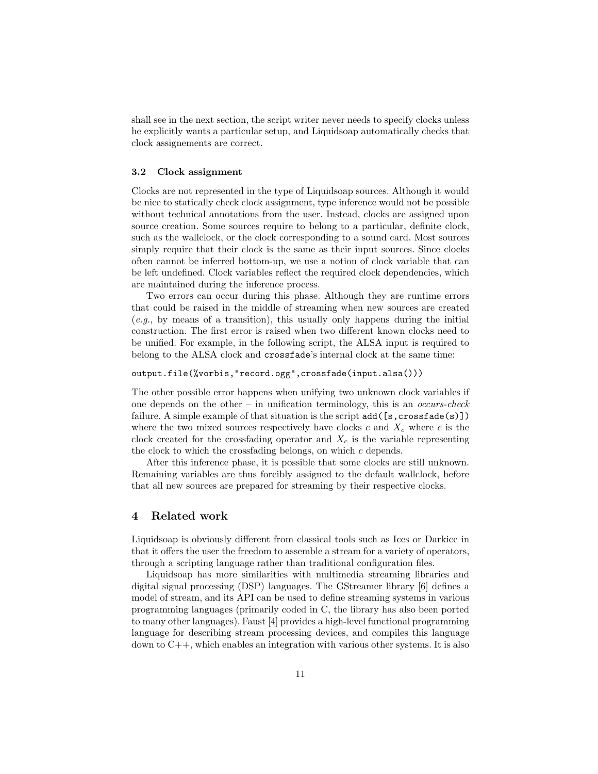shall see in the next section, the script writer never needs to specify clocks unless he explicitly wants a particular setup, and Liquidsoap automatically checks that clock assignements are correct.

#### 3.2 Clock assignment

Clocks are not represented in the type of Liquidsoap sources. Although it would be nice to statically check clock assignment, type inference would not be possible without technical annotations from the user. Instead, clocks are assigned upon source creation. Some sources require to belong to a particular, definite clock, such as the wallclock, or the clock corresponding to a sound card. Most sources simply require that their clock is the same as their input sources. Since clocks often cannot be inferred bottom-up, we use a notion of clock variable that can be left undefined. Clock variables reflect the required clock dependencies, which are maintained during the inference process.

Two errors can occur during this phase. Although they are runtime errors that could be raised in the middle of streaming when new sources are created  $(e, q, \, w)$  means of a transition), this usually only happens during the initial construction. The first error is raised when two different known clocks need to be unified. For example, in the following script, the ALSA input is required to belong to the ALSA clock and crossfade's internal clock at the same time:

#### output.file(%vorbis,"record.ogg",crossfade(input.alsa()))

The other possible error happens when unifying two unknown clock variables if one depends on the other – in unification terminology, this is an *occurs-check* failure. A simple example of that situation is the script  $add([s,crossface(s)])$ where the two mixed sources respectively have clocks c and  $X_c$  where c is the clock created for the crossfading operator and  $X_c$  is the variable representing the clock to which the crossfading belongs, on which c depends.

After this inference phase, it is possible that some clocks are still unknown. Remaining variables are thus forcibly assigned to the default wallclock, before that all new sources are prepared for streaming by their respective clocks.

# <span id="page-11-0"></span>4 Related work

Liquidsoap is obviously different from classical tools such as Ices or Darkice in that it offers the user the freedom to assemble a stream for a variety of operators, through a scripting language rather than traditional configuration files.

Liquidsoap has more similarities with multimedia streaming libraries and digital signal processing (DSP) languages. The GStreamer library [\[6\]](#page-12-4) defines a model of stream, and its API can be used to define streaming systems in various programming languages (primarily coded in C, the library has also been ported to many other languages). Faust [\[4\]](#page-12-5) provides a high-level functional programming language for describing stream processing devices, and compiles this language down to  $C_{++}$ , which enables an integration with various other systems. It is also